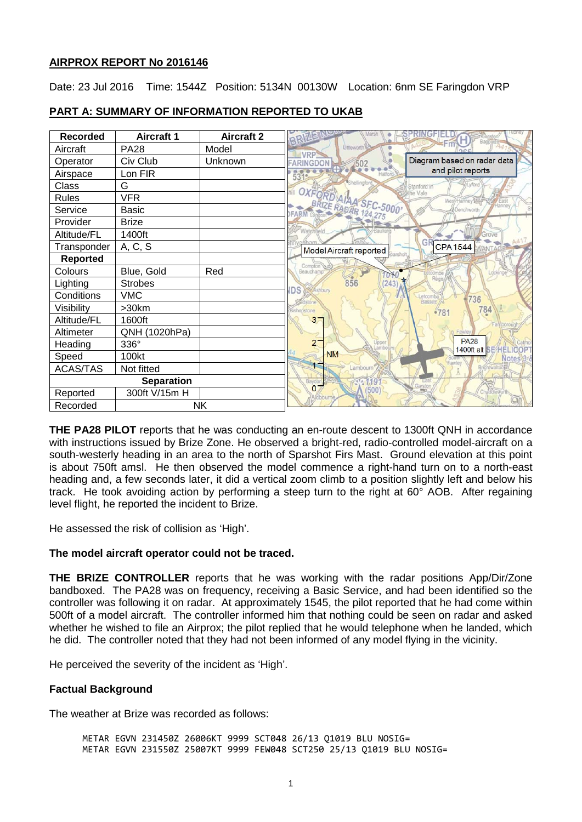## **AIRPROX REPORT No 2016146**

Date: 23 Jul 2016 Time: 1544Z Position: 5134N 00130W Location: 6nm SE Faringdon VRP

| <b>Recorded</b>       | <b>Aircraft 1</b> | <b>Aircraft 2</b> | BRIZE                                                          |
|-----------------------|-------------------|-------------------|----------------------------------------------------------------|
| Aircraft              | <b>PA28</b>       | Model             | Littleworth<br><b>VRP</b>                                      |
| Operator              | Civ Club          | Unknown           | Diagram based on radar data<br><b>FARINGDON</b><br>/502        |
| Airspace              | Lon FIR           |                   | and pilot reports<br>5319<br>Hatford                           |
| Class                 | G                 |                   | Shellingford<br>Stanford in                                    |
| Rules                 | <b>VFR</b>        |                   | the Vale<br>West/Hariney <sup>1</sup>                          |
| Service               | Basic             |                   | OXFORD AIA SEC-5000<br><b><i>EDenchworth</i></b>               |
| Provider              | <b>Brize</b>      |                   |                                                                |
| Altitude/FL           | 1400ft            |                   | Watchfield                                                     |
| Transponder           | A, C, S           |                   | GR<br>CPA 1544 WANTAG<br>Model Aircraft reported               |
| <b>Reported</b>       |                   |                   | arsholt.                                                       |
| Colours               | Blue, Gold        | Red               | Compton<br>Beauchamp<br>picking                                |
| Lighting              | <b>Strobes</b>    |                   | 856<br>243<br>IDS.<br>Ashbury                                  |
| Conditions            | <b>VMC</b>        |                   | Letcombe<br>736                                                |
| Visibility            | >30km             |                   | 784<br>Bishopstone<br>781                                      |
| Altitude/FL           | 1600ft            |                   | 3 <sub>z</sub>                                                 |
| Altimeter             | QNH (1020hPa)     |                   | Fawley                                                         |
| Heading               | 336°              |                   | <b>PA28</b><br>$2-$<br>Upper<br>ambo<br>1400ft alt SE/HELICOP' |
| Speed                 | 100kt             |                   | <b>NM</b><br>Notes <sup>3</sup>                                |
| ACAS/TAS              | Not fitted        |                   | Lambourn                                                       |
| <b>Separation</b>     |                   |                   | 119<br>Baydo                                                   |
| Reported              | 300ft V/15m H     |                   | $\mathbf{0}$<br>500                                            |
| <b>NK</b><br>Recorded |                   |                   |                                                                |

# **PART A: SUMMARY OF INFORMATION REPORTED TO UKAB**

**THE PA28 PILOT** reports that he was conducting an en-route descent to 1300ft QNH in accordance with instructions issued by Brize Zone. He observed a bright-red, radio-controlled model-aircraft on a south-westerly heading in an area to the north of Sparshot Firs Mast. Ground elevation at this point is about 750ft amsl. He then observed the model commence a right-hand turn on to a north-east heading and, a few seconds later, it did a vertical zoom climb to a position slightly left and below his track. He took avoiding action by performing a steep turn to the right at 60° AOB. After regaining level flight, he reported the incident to Brize.

He assessed the risk of collision as 'High'.

# **The model aircraft operator could not be traced.**

**THE BRIZE CONTROLLER** reports that he was working with the radar positions App/Dir/Zone bandboxed. The PA28 was on frequency, receiving a Basic Service, and had been identified so the controller was following it on radar. At approximately 1545, the pilot reported that he had come within 500ft of a model aircraft. The controller informed him that nothing could be seen on radar and asked whether he wished to file an Airprox; the pilot replied that he would telephone when he landed, which he did. The controller noted that they had not been informed of any model flying in the vicinity.

He perceived the severity of the incident as 'High'.

# **Factual Background**

The weather at Brize was recorded as follows:

METAR EGVN 231450Z 26006KT 9999 SCT048 26/13 Q1019 BLU NOSIG= METAR EGVN 231550Z 25007KT 9999 FEW048 SCT250 25/13 Q1019 BLU NOSIG=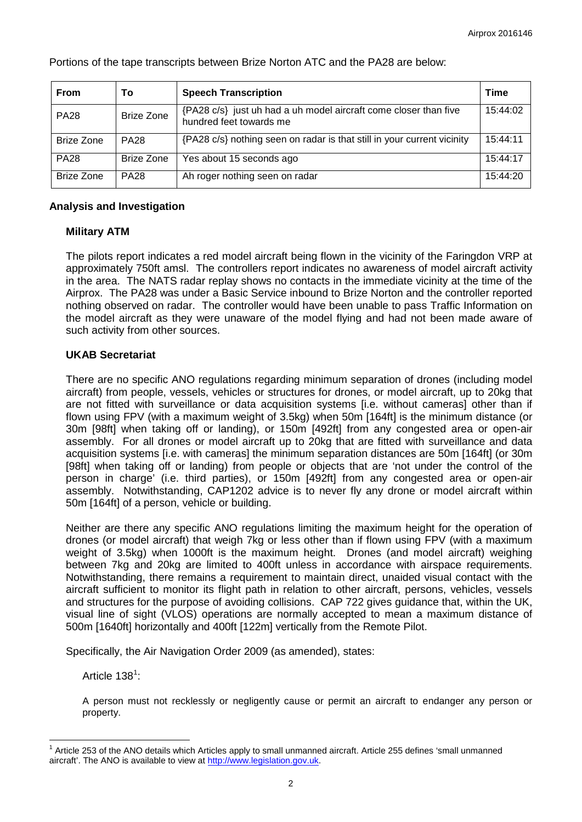| <b>From</b>       | To                | <b>Speech Transcription</b>                                                                 | <b>Time</b> |
|-------------------|-------------------|---------------------------------------------------------------------------------------------|-------------|
| <b>PA28</b>       | <b>Brize Zone</b> | {PA28 c/s} just uh had a uh model aircraft come closer than five<br>hundred feet towards me | 15:44:02    |
| <b>Brize Zone</b> | <b>PA28</b>       | {PA28 c/s} nothing seen on radar is that still in your current vicinity                     | 15:44:11    |
| <b>PA28</b>       | Brize Zone        | Yes about 15 seconds ago                                                                    | 15:44:17    |
| <b>Brize Zone</b> | <b>PA28</b>       | Ah roger nothing seen on radar                                                              | 15:44:20    |

Portions of the tape transcripts between Brize Norton ATC and the PA28 are below:

## **Analysis and Investigation**

### **Military ATM**

The pilots report indicates a red model aircraft being flown in the vicinity of the Faringdon VRP at approximately 750ft amsl. The controllers report indicates no awareness of model aircraft activity in the area. The NATS radar replay shows no contacts in the immediate vicinity at the time of the Airprox. The PA28 was under a Basic Service inbound to Brize Norton and the controller reported nothing observed on radar. The controller would have been unable to pass Traffic Information on the model aircraft as they were unaware of the model flying and had not been made aware of such activity from other sources.

## **UKAB Secretariat**

There are no specific ANO regulations regarding minimum separation of drones (including model aircraft) from people, vessels, vehicles or structures for drones, or model aircraft, up to 20kg that are not fitted with surveillance or data acquisition systems [i.e. without cameras] other than if flown using FPV (with a maximum weight of 3.5kg) when 50m [164ft] is the minimum distance (or 30m [98ft] when taking off or landing), or 150m [492ft] from any congested area or open-air assembly. For all drones or model aircraft up to 20kg that are fitted with surveillance and data acquisition systems [i.e. with cameras] the minimum separation distances are 50m [164ft] (or 30m [98ft] when taking off or landing) from people or objects that are 'not under the control of the person in charge' (i.e. third parties), or 150m [492ft] from any congested area or open-air assembly. Notwithstanding, CAP1202 advice is to never fly any drone or model aircraft within 50m [164ft] of a person, vehicle or building.

Neither are there any specific ANO regulations limiting the maximum height for the operation of drones (or model aircraft) that weigh 7kg or less other than if flown using FPV (with a maximum weight of 3.5kg) when 1000ft is the maximum height. Drones (and model aircraft) weighing between 7kg and 20kg are limited to 400ft unless in accordance with airspace requirements. Notwithstanding, there remains a requirement to maintain direct, unaided visual contact with the aircraft sufficient to monitor its flight path in relation to other aircraft, persons, vehicles, vessels and structures for the purpose of avoiding collisions. CAP 722 gives guidance that, within the UK, visual line of sight (VLOS) operations are normally accepted to mean a maximum distance of 500m [1640ft] horizontally and 400ft [122m] vertically from the Remote Pilot.

Specifically, the Air Navigation Order 2009 (as amended), states:

Article  $138^1$  $138^1$ :

A person must not recklessly or negligently cause or permit an aircraft to endanger any person or property.

<span id="page-1-0"></span><sup>1</sup> Article 253 of the ANO details which Articles apply to small unmanned aircraft. Article 255 defines 'small unmanned aircraft'. The ANO is available to view at [http://www.legislation.gov.uk.](http://www.legislation.gov.uk/)